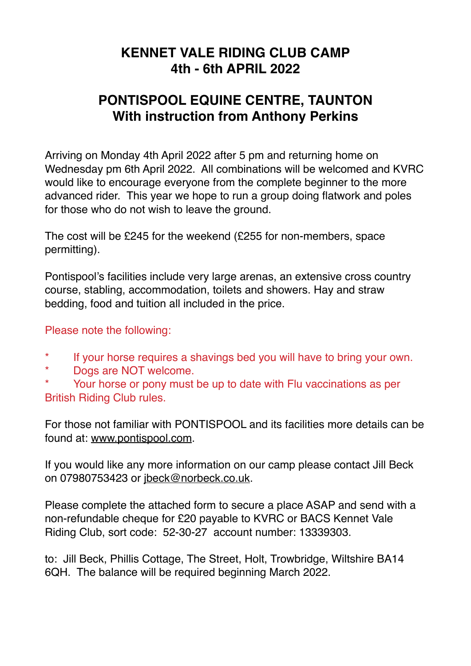### **KENNET VALE RIDING CLUB CAMP 4th - 6th APRIL 2022**

# **PONTISPOOL EQUINE CENTRE, TAUNTON With instruction from Anthony Perkins**

Arriving on Monday 4th April 2022 after 5 pm and returning home on Wednesday pm 6th April 2022. All combinations will be welcomed and KVRC would like to encourage everyone from the complete beginner to the more advanced rider. This year we hope to run a group doing flatwork and poles for those who do not wish to leave the ground.

The cost will be £245 for the weekend (£255 for non-members, space permitting).

Pontispool's facilities include very large arenas, an extensive cross country course, stabling, accommodation, toilets and showers. Hay and straw bedding, food and tuition all included in the price.

#### Please note the following:

- \* If your horse requires a shavings bed you will have to bring your own.
- \* Dogs are NOT welcome.

\* Your horse or pony must be up to date with Flu vaccinations as per British Riding Club rules.

For those not familiar with PONTISPOOL and its facilities more details can be found at: [www.pontispool.com.](http://www.pontispool.com)

If you would like any more information on our camp please contact Jill Beck on 07980753423 or [jbeck@norbeck.co.uk](mailto:jbeck@norbeck.co.uk).

Please complete the attached form to secure a place ASAP and send with a non-refundable cheque for £20 payable to KVRC or BACS Kennet Vale Riding Club, sort code: 52-30-27 account number: 13339303.

to: Jill Beck, Phillis Cottage, The Street, Holt, Trowbridge, Wiltshire BA14 6QH. The balance will be required beginning March 2022.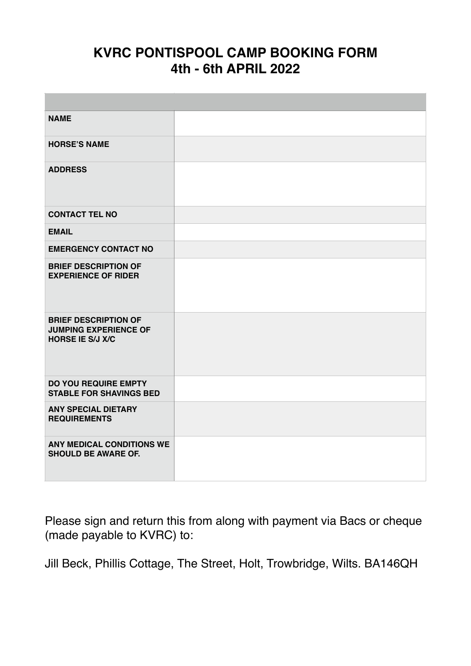## **KVRC PONTISPOOL CAMP BOOKING FORM 4th - 6th APRIL 2022**

| <b>NAME</b>                                                                            |  |
|----------------------------------------------------------------------------------------|--|
| <b>HORSE'S NAME</b>                                                                    |  |
| <b>ADDRESS</b>                                                                         |  |
| <b>CONTACT TEL NO</b>                                                                  |  |
| <b>EMAIL</b>                                                                           |  |
| <b>EMERGENCY CONTACT NO</b>                                                            |  |
| <b>BRIEF DESCRIPTION OF</b><br><b>EXPERIENCE OF RIDER</b>                              |  |
| <b>BRIEF DESCRIPTION OF</b><br><b>JUMPING EXPERIENCE OF</b><br><b>HORSE IE S/J X/C</b> |  |
| <b>DO YOU REQUIRE EMPTY</b><br><b>STABLE FOR SHAVINGS BED</b>                          |  |
| <b>ANY SPECIAL DIETARY</b><br><b>REQUIREMENTS</b>                                      |  |
| ANY MEDICAL CONDITIONS WE<br><b>SHOULD BE AWARE OF.</b>                                |  |

Please sign and return this from along with payment via Bacs or cheque (made payable to KVRC) to:

Jill Beck, Phillis Cottage, The Street, Holt, Trowbridge, Wilts. BA146QH